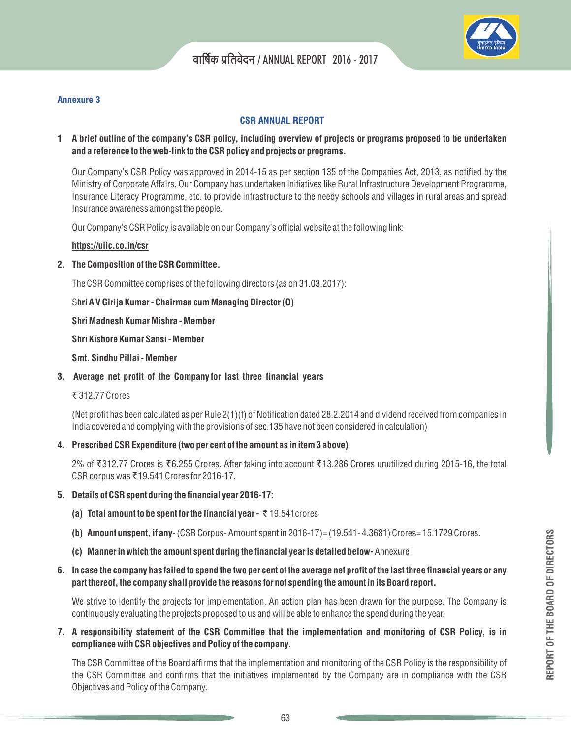

### **Annexure 3**

## **CSR ANNUAL REPORT**

## **1 A brief outline of the company's CSR policy, including overview of projects or programs proposed to be undertaken and a reference to the web-link to the CSR policy and projects or programs.**

Our Company's CSR Policy was approved in 2014-15 as per section 135 of the Companies Act, 2013, as notified by the Ministry of Corporate Affairs. Our Company has undertaken initiatives like Rural Infrastructure Development Programme, Insurance Literacy Programme, etc. to provide infrastructure to the needy schools and villages in rural areas and spread Insurance awareness amongst the people.

Our Company's CSR Policy is available on our Company's official website at the following link:

### **https://uiic.co.in/csr**

#### **2. The Composition of the CSR Committee.**

The CSR Committee comprises of the following directors (as on 31.03.2017):

**hri A V Girija Kumar - Chairman cum Managing Director (O)** S

**Shri Madnesh Kumar Mishra - Member**

**Shri Kishore Kumar Sansi - Member**

**Smt. Sindhu Pillai - Member**

**3. Average net profit of the Company for last three financial years**

#### ₹ 312.77 Crores

(Net profit has been calculated as per Rule 2(1)(f) of Notification dated 28.2.2014 and dividend received from companies in India covered and complying with the provisions of sec.135 have not been considered in calculation)

**4. Prescribed CSR Expenditure (two per cent of the amount as in item 3 above)**

2% of ₹312.77 Crores is ₹6.255 Crores. After taking into account ₹13.286 Crores unutilized during 2015-16, the total CSR corpus was ₹19.541 Crores for 2016-17.

### **5. Details of CSR spent during the financial year 2016-17:**

- **(a) Total amount to be spent for the financial year -** 19.541crores `
- **(b) Amount unspent, if any-** (CSR Corpus- Amount spent in 2016-17)= (19.541- 4.3681) Crores= 15.1729 Crores.
- **(c) Manner in which the amount spent during the financial year is detailed below-**Annexure I

### **6. In case the company has failed to spend the two per cent of the average net profit of the last three financial years or any part thereof, the company shall provide the reasons for not spending the amount in its Board report.**

We strive to identify the projects for implementation. An action plan has been drawn for the purpose. The Company is continuously evaluating the projects proposed to us and will be able to enhance the spend during the year.

**7. A responsibility statement of the CSR Committee that the implementation and monitoring of CSR Policy, is in compliance with CSR objectives and Policy of the company.**

The CSR Committee of the Board affirms that the implementation and monitoring of the CSR Policy is the responsibility of the CSR Committee and confirms that the initiatives implemented by the Company are in compliance with the CSR Objectives and Policy of the Company.